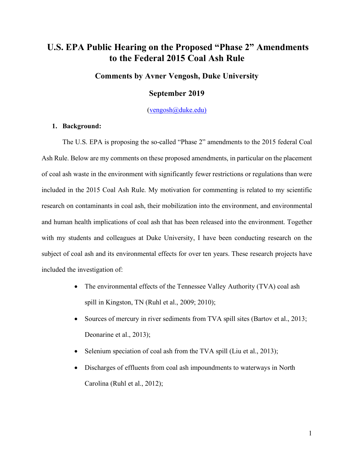# **U.S. EPA Public Hearing on the Proposed "Phase 2" Amendments to the Federal 2015 Coal Ash Rule**

### **Comments by Avner Vengosh, Duke University**

### **September 2019**

(vengosh@duke.edu)

#### **1. Background:**

The U.S. EPA is proposing the so-called "Phase 2" amendments to the 2015 federal Coal Ash Rule. Below are my comments on these proposed amendments, in particular on the placement of coal ash waste in the environment with significantly fewer restrictions or regulations than were included in the 2015 Coal Ash Rule. My motivation for commenting is related to my scientific research on contaminants in coal ash, their mobilization into the environment, and environmental and human health implications of coal ash that has been released into the environment. Together with my students and colleagues at Duke University, I have been conducting research on the subject of coal ash and its environmental effects for over ten years. These research projects have included the investigation of:

- The environmental effects of the Tennessee Valley Authority (TVA) coal ash spill in Kingston, TN (Ruhl et al., 2009; 2010);
- Sources of mercury in river sediments from TVA spill sites (Bartov et al., 2013; Deonarine et al., 2013);
- Selenium speciation of coal ash from the TVA spill (Liu et al., 2013);
- Discharges of effluents from coal ash impoundments to waterways in North Carolina (Ruhl et al., 2012);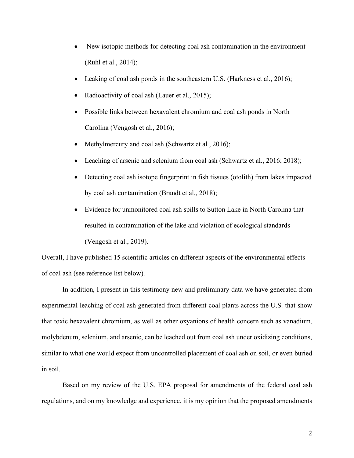- New isotopic methods for detecting coal ash contamination in the environment (Ruhl et al., 2014);
- Leaking of coal ash ponds in the southeastern U.S. (Harkness et al., 2016);
- Radioactivity of coal ash (Lauer et al., 2015);
- Possible links between hexavalent chromium and coal ash ponds in North Carolina (Vengosh et al., 2016);
- Methylmercury and coal ash (Schwartz et al., 2016);
- Leaching of arsenic and selenium from coal ash (Schwartz et al., 2016; 2018);
- Detecting coal ash isotope fingerprint in fish tissues (otolith) from lakes impacted by coal ash contamination (Brandt et al., 2018);
- Evidence for unmonitored coal ash spills to Sutton Lake in North Carolina that resulted in contamination of the lake and violation of ecological standards (Vengosh et al., 2019).

Overall, I have published 15 scientific articles on different aspects of the environmental effects of coal ash (see reference list below).

In addition, I present in this testimony new and preliminary data we have generated from experimental leaching of coal ash generated from different coal plants across the U.S. that show that toxic hexavalent chromium, as well as other oxyanions of health concern such as vanadium, molybdenum, selenium, and arsenic, can be leached out from coal ash under oxidizing conditions, similar to what one would expect from uncontrolled placement of coal ash on soil, or even buried in soil.

Based on my review of the U.S. EPA proposal for amendments of the federal coal ash regulations, and on my knowledge and experience, it is my opinion that the proposed amendments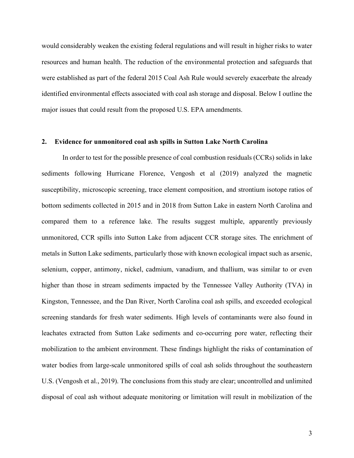would considerably weaken the existing federal regulations and will result in higher risks to water resources and human health. The reduction of the environmental protection and safeguards that were established as part of the federal 2015 Coal Ash Rule would severely exacerbate the already identified environmental effects associated with coal ash storage and disposal. Below I outline the major issues that could result from the proposed U.S. EPA amendments.

#### **2. Evidence for unmonitored coal ash spills in Sutton Lake North Carolina**

In order to test for the possible presence of coal combustion residuals (CCRs) solids in lake sediments following Hurricane Florence, Vengosh et al (2019) analyzed the magnetic susceptibility, microscopic screening, trace element composition, and strontium isotope ratios of bottom sediments collected in 2015 and in 2018 from Sutton Lake in eastern North Carolina and compared them to a reference lake. The results suggest multiple, apparently previously unmonitored, CCR spills into Sutton Lake from adjacent CCR storage sites. The enrichment of metals in Sutton Lake sediments, particularly those with known ecological impact such as arsenic, selenium, copper, antimony, nickel, cadmium, vanadium, and thallium, was similar to or even higher than those in stream sediments impacted by the Tennessee Valley Authority (TVA) in Kingston, Tennessee, and the Dan River, North Carolina coal ash spills, and exceeded ecological screening standards for fresh water sediments. High levels of contaminants were also found in leachates extracted from Sutton Lake sediments and co-occurring pore water, reflecting their mobilization to the ambient environment. These findings highlight the risks of contamination of water bodies from large-scale unmonitored spills of coal ash solids throughout the southeastern U.S. (Vengosh et al., 2019). The conclusions from this study are clear; uncontrolled and unlimited disposal of coal ash without adequate monitoring or limitation will result in mobilization of the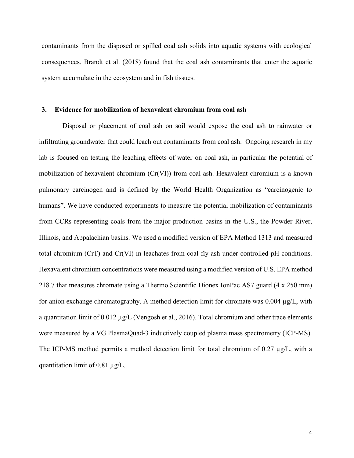contaminants from the disposed or spilled coal ash solids into aquatic systems with ecological consequences. Brandt et al. (2018) found that the coal ash contaminants that enter the aquatic system accumulate in the ecosystem and in fish tissues.

#### **3. Evidence for mobilization of hexavalent chromium from coal ash**

Disposal or placement of coal ash on soil would expose the coal ash to rainwater or infiltrating groundwater that could leach out contaminants from coal ash. Ongoing research in my lab is focused on testing the leaching effects of water on coal ash, in particular the potential of mobilization of hexavalent chromium (Cr(VI)) from coal ash. Hexavalent chromium is a known pulmonary carcinogen and is defined by the World Health Organization as "carcinogenic to humans". We have conducted experiments to measure the potential mobilization of contaminants from CCRs representing coals from the major production basins in the U.S., the Powder River, Illinois, and Appalachian basins. We used a modified version of EPA Method 1313 and measured total chromium (CrT) and Cr(VI) in leachates from coal fly ash under controlled pH conditions. Hexavalent chromium concentrations were measured using a modified version of U.S. EPA method 218.7 that measures chromate using a Thermo Scientific Dionex IonPac AS7 guard (4 x 250 mm) for anion exchange chromatography. A method detection limit for chromate was 0.004 µg/L, with a quantitation limit of  $0.012 \mu g/L$  (Vengosh et al., 2016). Total chromium and other trace elements were measured by a VG PlasmaQuad-3 inductively coupled plasma mass spectrometry (ICP-MS). The ICP-MS method permits a method detection limit for total chromium of 0.27  $\mu$ g/L, with a quantitation limit of 0.81 µg/L.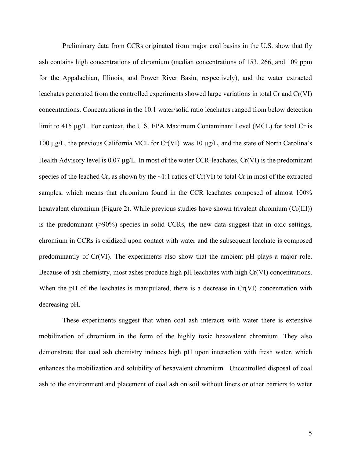Preliminary data from CCRs originated from major coal basins in the U.S. show that fly ash contains high concentrations of chromium (median concentrations of 153, 266, and 109 ppm for the Appalachian, Illinois, and Power River Basin, respectively), and the water extracted leachates generated from the controlled experiments showed large variations in total Cr and Cr(VI) concentrations. Concentrations in the 10:1 water/solid ratio leachates ranged from below detection limit to 415 µg/L. For context, the U.S. EPA Maximum Contaminant Level (MCL) for total Cr is 100 µg/L, the previous California MCL for Cr(VI) was 10 µg/L, and the state of North Carolina's Health Advisory level is 0.07  $\mu$ g/L. In most of the water CCR-leachates, Cr(VI) is the predominant species of the leached Cr, as shown by the  $\sim$ 1:1 ratios of Cr(VI) to total Cr in most of the extracted samples, which means that chromium found in the CCR leachates composed of almost 100% hexavalent chromium (Figure 2). While previous studies have shown trivalent chromium (Cr(III)) is the predominant  $(>90%)$  species in solid CCRs, the new data suggest that in oxic settings, chromium in CCRs is oxidized upon contact with water and the subsequent leachate is composed predominantly of Cr(VI). The experiments also show that the ambient pH plays a major role. Because of ash chemistry, most ashes produce high pH leachates with high Cr(VI) concentrations. When the pH of the leachates is manipulated, there is a decrease in  $Cr(VI)$  concentration with decreasing pH.

These experiments suggest that when coal ash interacts with water there is extensive mobilization of chromium in the form of the highly toxic hexavalent chromium. They also demonstrate that coal ash chemistry induces high pH upon interaction with fresh water, which enhances the mobilization and solubility of hexavalent chromium. Uncontrolled disposal of coal ash to the environment and placement of coal ash on soil without liners or other barriers to water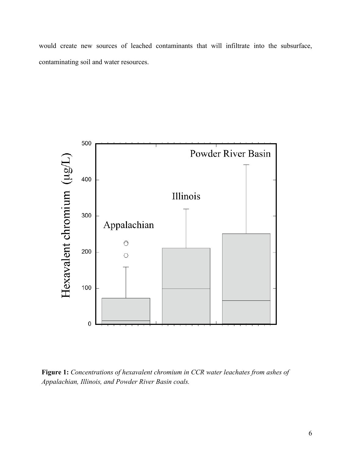would create new sources of leached contaminants that will infiltrate into the subsurface, contaminating soil and water resources.



**Figure 1:** *Concentrations of hexavalent chromium in CCR water leachates from ashes of Appalachian, Illinois, and Powder River Basin coals.*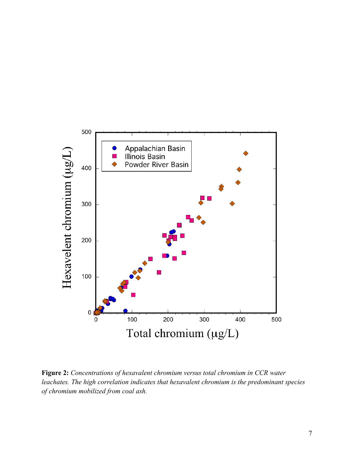

**Figure 2:** *Concentrations of hexavalent chromium versus total chromium in CCR water leachates. The high correlation indicates that hexavalent chromium is the predominant species of chromium mobilized from coal ash.*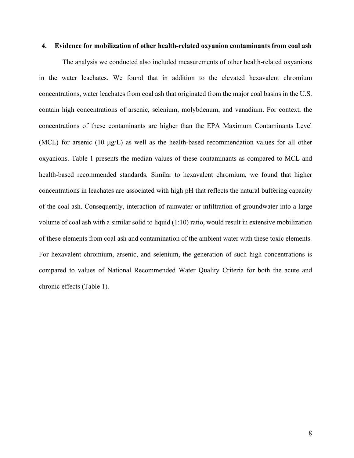#### **4. Evidence for mobilization of other health-related oxyanion contaminants from coal ash**

The analysis we conducted also included measurements of other health-related oxyanions in the water leachates. We found that in addition to the elevated hexavalent chromium concentrations, water leachates from coal ash that originated from the major coal basins in the U.S. contain high concentrations of arsenic, selenium, molybdenum, and vanadium. For context, the concentrations of these contaminants are higher than the EPA Maximum Contaminants Level (MCL) for arsenic (10  $\mu$ g/L) as well as the health-based recommendation values for all other oxyanions. Table 1 presents the median values of these contaminants as compared to MCL and health-based recommended standards. Similar to hexavalent chromium, we found that higher concentrations in leachates are associated with high pH that reflects the natural buffering capacity of the coal ash. Consequently, interaction of rainwater or infiltration of groundwater into a large volume of coal ash with a similar solid to liquid (1:10) ratio, would result in extensive mobilization of these elements from coal ash and contamination of the ambient water with these toxic elements. For hexavalent chromium, arsenic, and selenium, the generation of such high concentrations is compared to values of National Recommended Water Quality Criteria for both the acute and chronic effects (Table 1).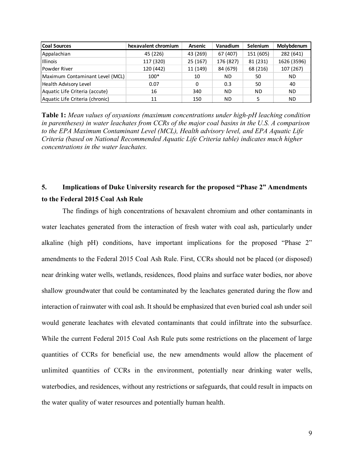| <b>Coal Sources</b>             | hexavalent chromium | <b>Arsenic</b> | Vanadium  | <b>Selenium</b> | Molybdenum  |
|---------------------------------|---------------------|----------------|-----------|-----------------|-------------|
| Appalachian                     | 45 (226)            | 43 (269)       | 67 (407)  | 151 (605)       | 282 (641)   |
| <b>Illinois</b>                 | 117 (320)           | 25 (167)       | 176 (827) | 81 (231)        | 1626 (3596) |
| <b>Powder River</b>             | 120 (442)           | 11 (149)       | 84 (679)  | 68 (216)        | 107 (267)   |
| Maximum Contaminant Level (MCL) | $100*$              | 10             | <b>ND</b> | 50              | <b>ND</b>   |
| Health Advisory Level           | 0.07                | 0              | 0.3       | 50              | 40          |
| Aquatic Life Criteria (accute)  | 16                  | 340            | <b>ND</b> | <b>ND</b>       | <b>ND</b>   |
| Aquatic Life Criteria (chronic) | 11                  | 150            | <b>ND</b> |                 | <b>ND</b>   |

**Table 1:** *Mean values of oxyanions (maximum concentrations under high-pH leaching condition in parentheses) in water leachates from CCRs of the major coal basins in the U.S. A comparison to the EPA Maximum Contaminant Level (MCL), Health advisory level, and EPA Aquatic Life Criteria (based on National Recommended Aquatic Life Criteria table) indicates much higher concentrations in the water leachates.*

## **5. Implications of Duke University research for the proposed "Phase 2" Amendments to the Federal 2015 Coal Ash Rule**

The findings of high concentrations of hexavalent chromium and other contaminants in water leachates generated from the interaction of fresh water with coal ash, particularly under alkaline (high pH) conditions, have important implications for the proposed "Phase 2" amendments to the Federal 2015 Coal Ash Rule. First, CCRs should not be placed (or disposed) near drinking water wells, wetlands, residences, flood plains and surface water bodies, nor above shallow groundwater that could be contaminated by the leachates generated during the flow and interaction of rainwater with coal ash. It should be emphasized that even buried coal ash under soil would generate leachates with elevated contaminants that could infiltrate into the subsurface. While the current Federal 2015 Coal Ash Rule puts some restrictions on the placement of large quantities of CCRs for beneficial use, the new amendments would allow the placement of unlimited quantities of CCRs in the environment, potentially near drinking water wells, waterbodies, and residences, without any restrictions or safeguards, that could result in impacts on the water quality of water resources and potentially human health.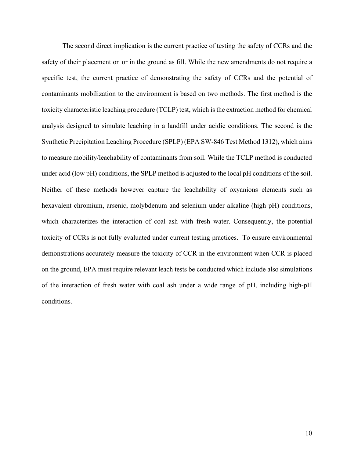The second direct implication is the current practice of testing the safety of CCRs and the safety of their placement on or in the ground as fill. While the new amendments do not require a specific test, the current practice of demonstrating the safety of CCRs and the potential of contaminants mobilization to the environment is based on two methods. The first method is the toxicity characteristic leaching procedure (TCLP) test, which is the extraction method for chemical analysis designed to simulate leaching in a landfill under acidic conditions. The second is the Synthetic Precipitation Leaching Procedure (SPLP) (EPA SW-846 Test Method 1312), which aims to measure mobility/leachability of contaminants from soil. While the TCLP method is conducted under acid (low pH) conditions, the SPLP method is adjusted to the local pH conditions of the soil. Neither of these methods however capture the leachability of oxyanions elements such as hexavalent chromium, arsenic, molybdenum and selenium under alkaline (high pH) conditions, which characterizes the interaction of coal ash with fresh water. Consequently, the potential toxicity of CCRs is not fully evaluated under current testing practices. To ensure environmental demonstrations accurately measure the toxicity of CCR in the environment when CCR is placed on the ground, EPA must require relevant leach tests be conducted which include also simulations of the interaction of fresh water with coal ash under a wide range of pH, including high-pH conditions.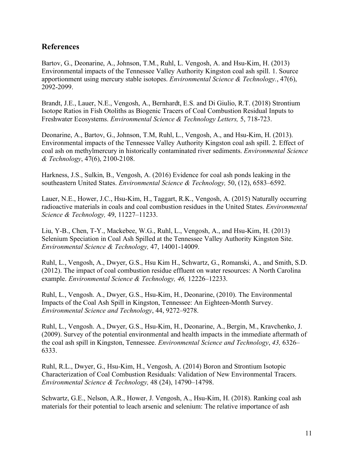## **References**

Bartov, G., Deonarine, A., Johnson, T.M., Ruhl, L. Vengosh, A. and Hsu-Kim, H. (2013) Environmental impacts of the Tennessee Valley Authority Kingston coal ash spill. 1. Source apportionment using mercury stable isotopes. *Environmental Science & Technology.*, 47(6), 2092-2099.

Brandt, J.E., Lauer, N.E., Vengosh, A., Bernhardt, E.S. and Di Giulio, R.T. (2018) Strontium Isotope Ratios in Fish Otoliths as Biogenic Tracers of Coal Combustion Residual Inputs to Freshwater Ecosystems. *Environmental Science & Technology Letters,* 5, 718-723.

Deonarine, A., Bartov, G., Johnson, T.M, Ruhl, L., Vengosh, A., and Hsu-Kim, H. (2013). Environmental impacts of the Tennessee Valley Authority Kingston coal ash spill. 2. Effect of coal ash on methylmercury in historically contaminated river sediments. *Environmental Science & Technology*, 47(6), 2100-2108.

Harkness, J.S., Sulkin, B., Vengosh, A. (2016) Evidence for coal ash ponds leaking in the southeastern United States. *Environmental Science & Technology,* 50, (12), 6583–6592.

Lauer, N.E., Hower, J.C., Hsu-Kim, H., Taggart, R.K., Vengosh, A. (2015) Naturally occurring radioactive materials in coals and coal combustion residues in the United States. *Environmental Science & Technology,* 49, 11227–11233.

Liu, Y-B., Chen, T-Y., Mackebee, W.G., Ruhl, L., Vengosh, A., and Hsu-Kim, H. (2013) Selenium Speciation in Coal Ash Spilled at the Tennessee Valley Authority Kingston Site. *Environmental Science & Technology,* 47, 14001-14009.

Ruhl, L., Vengosh, A., Dwyer, G.S., Hsu Kim H., Schwartz, G., Romanski, A., and Smith, S.D. (2012). The impact of coal combustion residue effluent on water resources: A North Carolina example. *Environmental Science & Technology, 46,* 12226–12233.

Ruhl, L., Vengosh. A., Dwyer, G.S., Hsu-Kim, H., Deonarine, (2010). The Environmental Impacts of the Coal Ash Spill in Kingston, Tennessee: An Eighteen-Month Survey. *Environmental Science and Technology*, 44, 9272–9278.

Ruhl, L., Vengosh. A., Dwyer, G.S., Hsu-Kim, H., Deonarine, A., Bergin, M., Kravchenko, J. (2009). Survey of the potential environmental and health impacts in the immediate aftermath of the coal ash spill in Kingston, Tennessee. *Environmental Science and Technology*, *43,* 6326– 6333.

Ruhl, R.L., Dwyer, G., Hsu-Kim, H., Vengosh, A. (2014) Boron and Strontium Isotopic Characterization of Coal Combustion Residuals: Validation of New Environmental Tracers. *Environmental Science & Technology,* 48 (24), 14790–14798.

Schwartz, G.E., Nelson, A.R., Hower, J. Vengosh, A., Hsu-Kim, H. (2018). Ranking coal ash materials for their potential to leach arsenic and selenium: The relative importance of ash